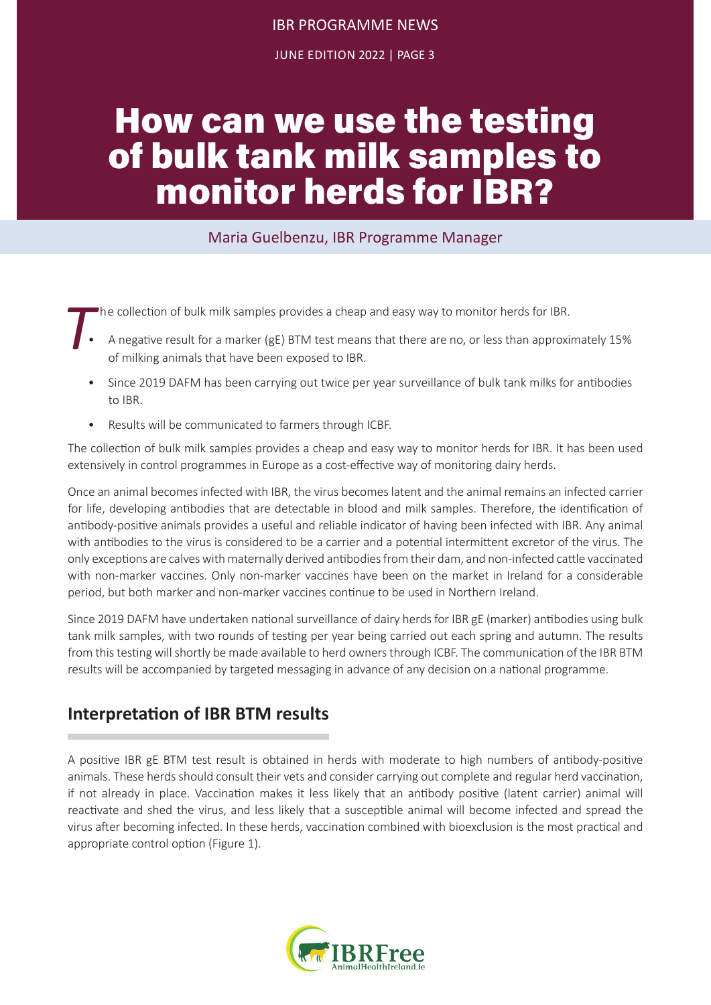# IBR PROGRAMME NEWS

JUNE EDITION 2022 | PAGE 3

# How can we use the testing of bulk tank milk samples to monitor herds for IBR?

#### Maria Guelbenzu, IBR Programme Manager

- **The collection of bulk milk samples provides a cheap and easy way to monitor herds for IBR.<br>A negative result for a marker (gE) BTM test means that there are no, or less than approximate of milking animals that have been** • A negative result for a marker (gE) BTM test means that there are no, or less than approximately 15% of milking animals that have been exposed to IBR.
	- Since 2019 DAFM has been carrying out twice per year surveillance of bulk tank milks for antibodies to IBR.
	- Results will be communicated to farmers through ICBF.

The collection of bulk milk samples provides a cheap and easy way to monitor herds for IBR. It has been used extensively in control programmes in Europe as a cost-effective way of monitoring dairy herds.

Once an animal becomes infected with IBR, the virus becomes latent and the animal remains an infected carrier for life, developing antibodies that are detectable in blood and milk samples. Therefore, the identification of antibody-positive animals provides a useful and reliable indicator of having been infected with IBR. Any animal with antibodies to the virus is considered to be a carrier and a potential intermittent excretor of the virus. The only exceptions are calves with maternally derived antibodies from their dam, and non-infected cattle vaccinated with non-marker vaccines. Only non-marker vaccines have been on the market in Ireland for a considerable period, but both marker and non-marker vaccines continue to be used in Northern Ireland.

Since 2019 DAFM have undertaken national surveillance of dairy herds for IBR gE (marker) antibodies using bulk tank milk samples, with two rounds of testing per year being carried out each spring and autumn. The results from this testing will shortly be made available to herd owners through ICBF. The communication of the IBR BTM results will be accompanied by targeted messaging in advance of any decision on a national programme.

### **Interpretation of IBR BTM results**

A positive IBR gE BTM test result is obtained in herds with moderate to high numbers of antibody-positive animals. These herds should consult their vets and consider carrying out complete and regular herd vaccination, if not already in place. Vaccination makes it less likely that an antibody positive (latent carrier) animal will reactivate and shed the virus, and less likely that a susceptible animal will become infected and spread the virus after becoming infected. In these herds, vaccination combined with bioexclusion is the most practical and appropriate control option (Figure 1).